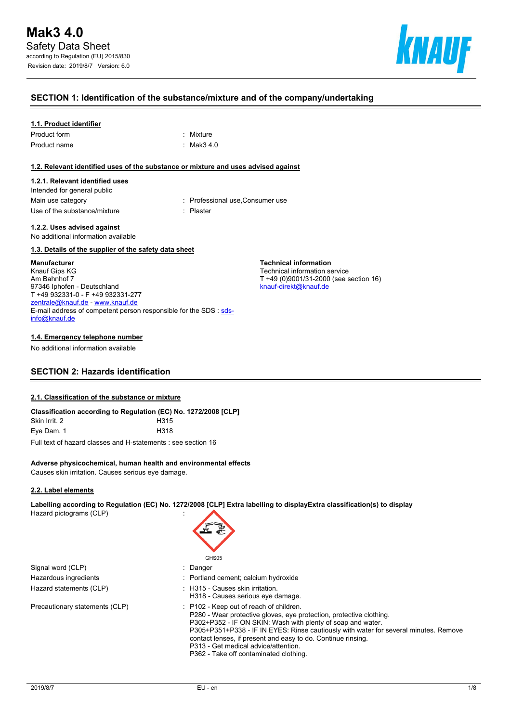

### **SECTION 1: Identification of the substance/mixture and of the company/undertaking**

#### **1.1. Product identifier**

| Product form | : Mixture             |
|--------------|-----------------------|
| Product name | $\therefore$ Mak3 4.0 |

#### **1.2. Relevant identified uses of the substance or mixture and uses advised against**

#### **1.2.1. Relevant identified uses**

Intended for general public Use of the substance/mixture in the substance in the set of the substance of the substance in the set of the s

Main use category **Main use category : Professional use, Consumer use** 

**1.2.2. Uses advised against**

No additional information available

#### **1.3. Details of the supplier of the safety data sheet**

#### **Manufacturer**

Knauf Gips KG Am Bahnhof 7 97346 Iphofen - Deutschland T +49 932331-0 - F +49 932331-277 [zentrale@knauf.de](mailto:zentrale@knauf.de) - <www.knauf.de> E-mail address of competent person responsible for the SDS : [sds](mailto:sds-info@knauf.de)[info@knauf.de](mailto:sds-info@knauf.de)

#### **1.4. Emergency telephone number**

No additional information available

## **SECTION 2: Hazards identification**

#### **2.1. Classification of the substance or mixture**

| Classification according to Regulation (EC) No. 1272/2008 [CLP] |                  |
|-----------------------------------------------------------------|------------------|
| Skin Irrit. 2                                                   | H <sub>315</sub> |
| Eve Dam. 1                                                      | H318             |

Full text of hazard classes and H-statements : see section 16

#### **Adverse physicochemical, human health and environmental effects**

Causes skin irritation. Causes serious eye damage.

#### **2.2. Label elements**

**Labelling according to Regulation (EC) No. 1272/2008 [CLP] Extra labelling to displayExtra classification(s) to display**

Hazard pictograms (CLP) :

Signal word (CLP) : Danger Hazardous ingredients **interest in the Community** Portland cement; calcium hydroxide Hazard statements (CLP)  $\qquad \qquad$ : H315 - Causes skin irritation.

Precautionary statements (CLP) : P102 - Keep out of reach of children.

GH<sub>S05</sub> H318 - Causes serious eye damage. P280 - Wear protective gloves, eye protection, protective clothing.

**Technical information**

P302+P352 - IF ON SKIN: Wash with plenty of soap and water.

contact lenses, if present and easy to do. Continue rinsing.

P313 - Get medical advice/attention. P362 - Take off contaminated clothing.

P305+P351+P338 - IF IN EYES: Rinse cautiously with water for several minutes. Remove

Technical information service T +49 (0)9001/31-2000 (see section 16) [knauf-direkt@knauf.de](mailto:knauf-direkt@knauf.de)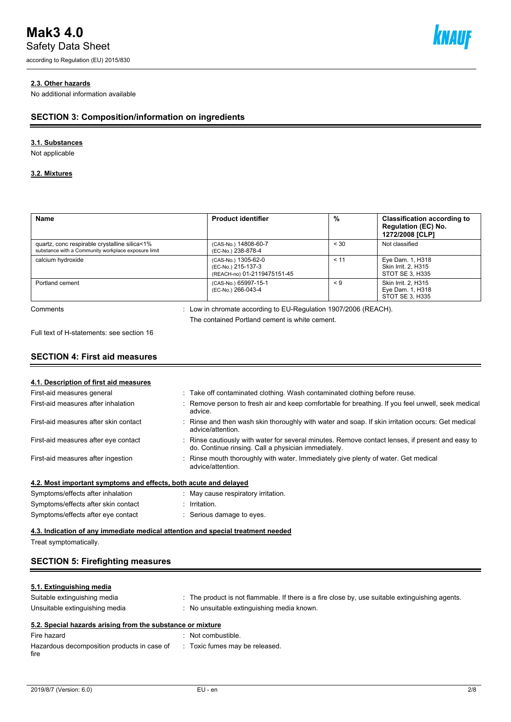# **Mak3 4.0**

Safety Data Sheet

according to Regulation (EU) 2015/830



## **2.3. Other hazards**

No additional information available

## **SECTION 3: Composition/information on ingredients**

## **3.1. Substances**

Not applicable

### **3.2. Mixtures**

| <b>Name</b>                                                                                          | <b>Product identifier</b>                                                                                         | %        | <b>Classification according to</b><br>Regulation (EC) No.<br>1272/2008 [CLP] |
|------------------------------------------------------------------------------------------------------|-------------------------------------------------------------------------------------------------------------------|----------|------------------------------------------------------------------------------|
| quartz, conc respirable crystalline silica<1%<br>substance with a Community workplace exposure limit | (CAS-No.) 14808-60-7<br>(EC-No.) 238-878-4                                                                        | < 30     | Not classified                                                               |
| calcium hydroxide                                                                                    | (CAS-No.) 1305-62-0<br>(EC-No.) 215-137-3<br>(REACH-no) 01-2119475151-45                                          | < 11     | Eye Dam. 1, H318<br><b>Skin Irrit. 2. H315</b><br>STOT SE 3, H335            |
| Portland cement                                                                                      | (CAS-No.) 65997-15-1<br>(EC-No.) 266-043-4                                                                        | $\leq 9$ | Skin Irrit. 2. H315<br>Eye Dam. 1, H318<br>STOT SE 3, H335                   |
| Comments                                                                                             | : Low in chromate according to EU-Regulation 1907/2006 (REACH).<br>The contained Portland cement is white cement. |          |                                                                              |

Full text of H-statements: see section 16

## **SECTION 4: First aid measures**

| 4.1. Description of first aid measures                                          |                                                                                                                                                       |
|---------------------------------------------------------------------------------|-------------------------------------------------------------------------------------------------------------------------------------------------------|
| First-aid measures general                                                      | : Take off contaminated clothing. Wash contaminated clothing before reuse.                                                                            |
| First-aid measures after inhalation                                             | Remove person to fresh air and keep comfortable for breathing. If you feel unwell, seek medical<br>advice.                                            |
| First-aid measures after skin contact                                           | Rinse and then wash skin thoroughly with water and soap. If skin irritation occurs: Get medical<br>advice/attention.                                  |
| First-aid measures after eye contact                                            | Rinse cautiously with water for several minutes. Remove contact lenses, if present and easy to<br>do. Continue rinsing. Call a physician immediately. |
| First-aid measures after ingestion                                              | Rinse mouth thoroughly with water. Immediately give plenty of water. Get medical<br>advice/attention.                                                 |
| 4.2. Most important symptoms and effects, both acute and delayed                |                                                                                                                                                       |
| Symptoms/effects after inhalation                                               | May cause respiratory irritation.                                                                                                                     |
| Symptoms/effects after skin contact                                             | Irritation.                                                                                                                                           |
| Symptoms/effects after eye contact                                              | Serious damage to eyes.                                                                                                                               |
| 4.3. Indication of any immediate medical attention and special treatment needed |                                                                                                                                                       |
| Treat symptomatically.                                                          |                                                                                                                                                       |

## **SECTION 5: Firefighting measures**

## **5.1. Extinguishing media**

| Suitable extinguishing media                               | . The product is not flammable. If there is a fire close by, use suitable extinguishing agents. |
|------------------------------------------------------------|-------------------------------------------------------------------------------------------------|
| Unsuitable extinguishing media                             | No unsuitable extinguishing media known.                                                        |
| 5.2. Special hazards arising from the substance or mixture |                                                                                                 |
| Fire hazard                                                | Not combustible.                                                                                |

| Filte Hazaru                                        | . INUL CUTTINUS INTE.          |
|-----------------------------------------------------|--------------------------------|
| Hazardous decomposition products in case of<br>fire | : Toxic fumes may be released. |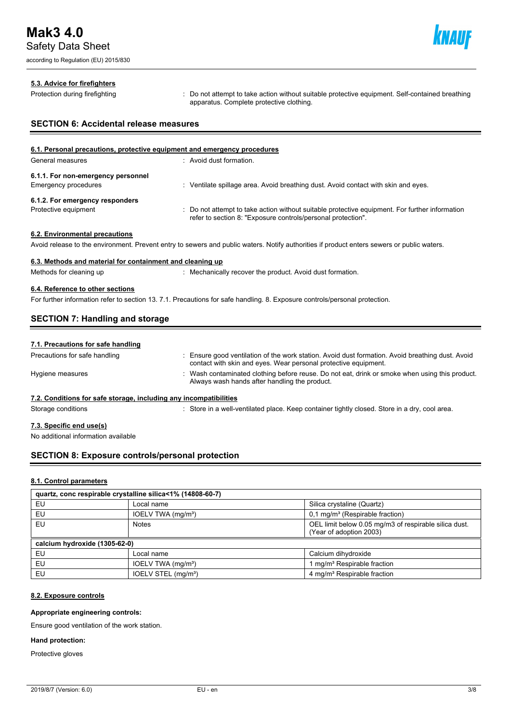according to Regulation (EU) 2015/830



#### **5.3. Advice for firefighters**

Protection during firefighting **intercontage action**: Do not attempt to take action without suitable protective equipment. Self-contained breathing apparatus. Complete protective clothing.

## **SECTION 6: Accidental release measures**

| 6.1. Personal precautions, protective equipment and emergency procedures |                                                                                                                                                                |  |  |
|--------------------------------------------------------------------------|----------------------------------------------------------------------------------------------------------------------------------------------------------------|--|--|
| General measures                                                         | : Avoid dust formation.                                                                                                                                        |  |  |
| 6.1.1. For non-emergency personnel                                       |                                                                                                                                                                |  |  |
| <b>Emergency procedures</b>                                              | Ventilate spillage area. Avoid breathing dust. Avoid contact with skin and eyes.                                                                               |  |  |
| 6.1.2. For emergency responders                                          |                                                                                                                                                                |  |  |
| Protective equipment                                                     | : Do not attempt to take action without suitable protective equipment. For further information<br>refer to section 8: "Exposure controls/personal protection". |  |  |
| 6.2. Environmental precautions                                           |                                                                                                                                                                |  |  |

Avoid release to the environment. Prevent entry to sewers and public waters. Notify authorities if product enters sewers or public waters.

### **6.3. Methods and material for containment and cleaning up**

Methods for cleaning up : Mechanically recover the product. Avoid dust formation.

### **6.4. Reference to other sections**

For further information refer to section 13. 7.1. Precautions for safe handling. 8. Exposure controls/personal protection.

## **SECTION 7: Handling and storage**

| 7.1. Precautions for safe handling                                |                                                                                                                                                                     |
|-------------------------------------------------------------------|---------------------------------------------------------------------------------------------------------------------------------------------------------------------|
| Precautions for safe handling                                     | : Ensure good ventilation of the work station. Avoid dust formation. Avoid breathing dust. Avoid<br>contact with skin and eyes. Wear personal protective equipment. |
| Hygiene measures                                                  | : Wash contaminated clothing before reuse. Do not eat, drink or smoke when using this product.<br>Always wash hands after handling the product.                     |
| 7.2. Conditions for safe storage, including any incompatibilities |                                                                                                                                                                     |
| Storage conditions                                                | : Store in a well-ventilated place. Keep container tightly closed. Store in a dry, cool area.                                                                       |

#### **7.3. Specific end use(s)**

No additional information available

## **SECTION 8: Exposure controls/personal protection**

#### **8.1. Control parameters**

| quartz, conc respirable crystalline silica<1% (14808-60-7) |                                 |                                                                                  |  |  |
|------------------------------------------------------------|---------------------------------|----------------------------------------------------------------------------------|--|--|
| EU                                                         | Local name                      | Silica crystaline (Quartz)                                                       |  |  |
| EU                                                         | IOELV TWA (mg/m <sup>3</sup> )  | $0,1$ mg/m <sup>3</sup> (Respirable fraction)                                    |  |  |
| EU                                                         | <b>Notes</b>                    | OEL limit below 0.05 mg/m3 of respirable silica dust.<br>(Year of adoption 2003) |  |  |
| calcium hydroxide (1305-62-0)                              |                                 |                                                                                  |  |  |
| EU                                                         | Local name                      | Calcium dihydroxide                                                              |  |  |
| EU                                                         | IOELV TWA (mg/m <sup>3</sup> )  | I mg/m <sup>3</sup> Respirable fraction                                          |  |  |
| EU                                                         | IOELV STEL (mg/m <sup>3</sup> ) | 4 mg/m <sup>3</sup> Respirable fraction                                          |  |  |

#### **8.2. Exposure controls**

#### **Appropriate engineering controls:**

Ensure good ventilation of the work station.

## **Hand protection:**

Protective gloves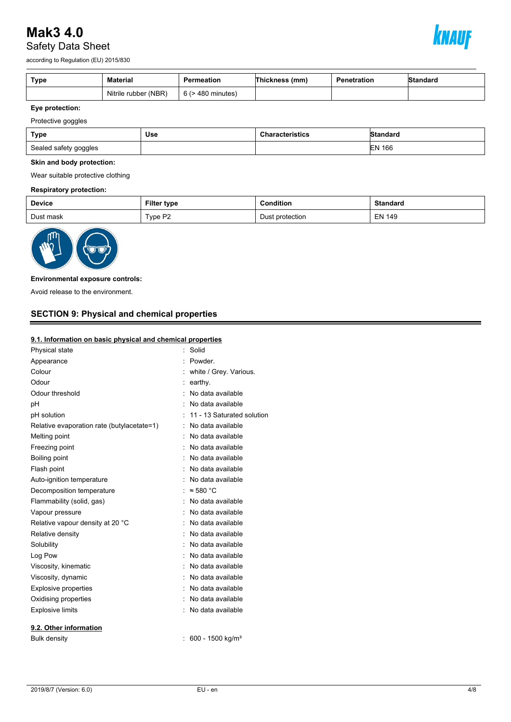# **Mak3 4.0** Safety Data Sheet



according to Regulation (EU) 2015/830

| Type | Material             | Permeation             | Thickness (mm) | Penetration | Standard |
|------|----------------------|------------------------|----------------|-------------|----------|
|      | Nitrile rubber (NBR) | $6$ ( $>$ 480 minutes) |                |             |          |

## **Eye protection:**

Protective goggles

| Type                  | Use | <b>Characteristics</b> | Standard      |
|-----------------------|-----|------------------------|---------------|
| Sealed safety goggles |     |                        | <b>EN 166</b> |

#### **Skin and body protection:**

Wear suitable protective clothing

#### **Respiratory protection:**

| <b>Device</b> | Filter type | Condition       | <b>Standard</b> |
|---------------|-------------|-----------------|-----------------|
| Dust mask     | Type P2     | Dust protection | <b>EN 149</b>   |



## **Environmental exposure controls:**

Avoid release to the environment.

## **SECTION 9: Physical and chemical properties**

## **9.1. Information on basic physical and chemical properties**

| Physical state                             | Solid                        |
|--------------------------------------------|------------------------------|
| Appearance                                 | Powder                       |
| Colour                                     | white / Grey. Various.       |
| Odour                                      | earthy.                      |
| Odour threshold                            | No data available            |
| рH                                         | No data available            |
| pH solution                                | 11 - 13 Saturated solution   |
| Relative evaporation rate (butylacetate=1) | No data available            |
| Melting point                              | No data available            |
| Freezing point                             | No data available            |
| Boiling point                              | No data available            |
| Flash point                                | No data available            |
| Auto-ignition temperature                  | No data available            |
| Decomposition temperature                  | $\approx$ 580 °C             |
| Flammability (solid, gas)                  | No data available            |
| Vapour pressure                            | No data available            |
| Relative vapour density at 20 °C           | No data available            |
| Relative density                           | No data available            |
| Solubility                                 | No data available            |
| Log Pow                                    | No data available            |
| Viscosity, kinematic                       | No data available            |
| Viscosity, dynamic                         | No data available            |
| <b>Explosive properties</b>                | No data available            |
| Oxidising properties                       | No data available            |
| <b>Explosive limits</b>                    | No data available            |
| 9.2. Other information                     |                              |
| <b>Bulk density</b>                        | 600 - 1500 kg/m <sup>3</sup> |
|                                            |                              |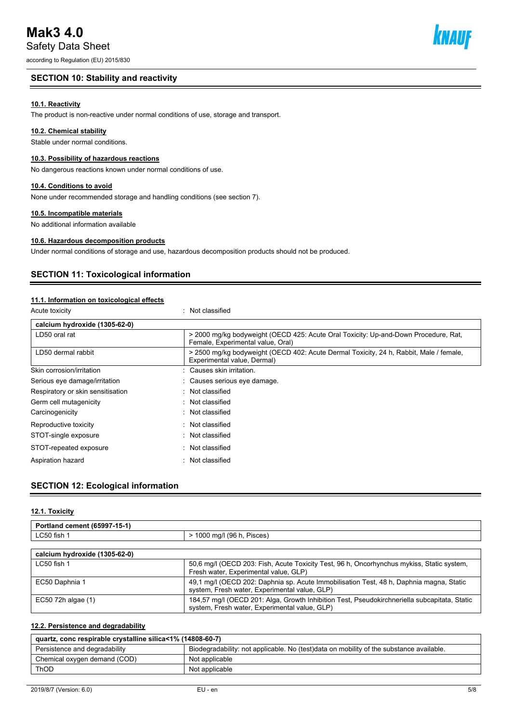# **Mak3 4.0**

Safety Data Sheet

according to Regulation (EU) 2015/830

## **SECTION 10: Stability and reactivity**

## **10.1. Reactivity**

The product is non-reactive under normal conditions of use, storage and transport.

## **10.2. Chemical stability**

Stable under normal conditions.

## **10.3. Possibility of hazardous reactions**

No dangerous reactions known under normal conditions of use.

## **10.4. Conditions to avoid**

None under recommended storage and handling conditions (see section 7).

## **10.5. Incompatible materials**

No additional information available

## **10.6. Hazardous decomposition products**

Under normal conditions of storage and use, hazardous decomposition products should not be produced.

## **SECTION 11: Toxicological information**

## **11.1. Information on toxicological effects**

| Acute toxicity                    | Not classified                                                                                                           |
|-----------------------------------|--------------------------------------------------------------------------------------------------------------------------|
| calcium hydroxide (1305-62-0)     |                                                                                                                          |
| LD50 oral rat                     | > 2000 mg/kg bodyweight (OECD 425: Acute Oral Toxicity: Up-and-Down Procedure, Rat,<br>Female, Experimental value, Oral) |
| LD50 dermal rabbit                | > 2500 mg/kg bodyweight (OECD 402: Acute Dermal Toxicity, 24 h, Rabbit, Male / female,<br>Experimental value, Dermal)    |
| Skin corrosion/irritation         | Causes skin irritation.                                                                                                  |
| Serious eye damage/irritation     | Causes serious eye damage.                                                                                               |
| Respiratory or skin sensitisation | : Not classified                                                                                                         |
| Germ cell mutagenicity            | $\therefore$ Not classified                                                                                              |
| Carcinogenicity                   | $\therefore$ Not classified                                                                                              |
| Reproductive toxicity             | $\therefore$ Not classified                                                                                              |
| STOT-single exposure              | : Not classified                                                                                                         |
| STOT-repeated exposure            | $\therefore$ Not classified                                                                                              |
| Aspiration hazard                 | $\therefore$ Not classified                                                                                              |

## **SECTION 12: Ecological information**

#### **12.1. Toxicity**

| Portland cement (65997-15-1)  |                                                                                           |
|-------------------------------|-------------------------------------------------------------------------------------------|
| LC50 fish 1                   | > 1000 mg/l (96 h, Pisces)                                                                |
|                               |                                                                                           |
| calcium hydroxide (1305-62-0) |                                                                                           |
| LC50 fish 1                   | 50,6 mg/l (OECD 203: Fish, Acute Toxicity Test, 96 h, Oncorhynchus mykiss, Static system, |

|                    | Fresh water, Experimental value, GLP)                                                                                                         |
|--------------------|-----------------------------------------------------------------------------------------------------------------------------------------------|
| EC50 Daphnia 1     | 49,1 mg/l (OECD 202: Daphnia sp. Acute Immobilisation Test, 48 h, Daphnia magna, Static                                                       |
|                    | system, Fresh water, Experimental value, GLP)                                                                                                 |
| EC50 72h algae (1) | 184,57 mg/l (OECD 201: Alga, Growth Inhibition Test, Pseudokirchneriella subcapitata, Static<br>system, Fresh water, Experimental value, GLP) |

## **12.2. Persistence and degradability**

| quartz, conc respirable crystalline silica<1% (14808-60-7) |                                                                                         |  |
|------------------------------------------------------------|-----------------------------------------------------------------------------------------|--|
| Persistence and degradability                              | Biodegradability: not applicable. No (test)data on mobility of the substance available. |  |
| Chemical oxygen demand (COD)                               | Not applicable                                                                          |  |
| <b>ThOD</b>                                                | Not applicable                                                                          |  |

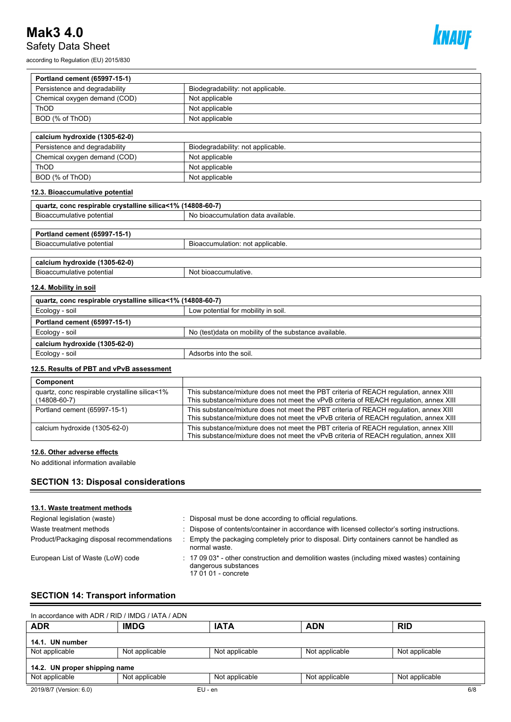# **Mak3 4.0** Safety Data Sheet

according to Regulation (EU) 2015/830



| Portland cement (65997-15-1)                               |                                                       |  |
|------------------------------------------------------------|-------------------------------------------------------|--|
| Persistence and degradability                              | Biodegradability: not applicable.                     |  |
| Chemical oxygen demand (COD)                               | Not applicable                                        |  |
| ThOD                                                       | Not applicable                                        |  |
| BOD (% of ThOD)                                            | Not applicable                                        |  |
|                                                            |                                                       |  |
| calcium hydroxide (1305-62-0)                              |                                                       |  |
| Persistence and degradability                              | Biodegradability: not applicable.                     |  |
| Chemical oxygen demand (COD)                               | Not applicable                                        |  |
| <b>ThOD</b>                                                | Not applicable                                        |  |
| BOD (% of ThOD)                                            | Not applicable                                        |  |
| 12.3. Bioaccumulative potential                            |                                                       |  |
| quartz, conc respirable crystalline silica<1% (14808-60-7) |                                                       |  |
| Bioaccumulative potential                                  | No bioaccumulation data available.                    |  |
|                                                            |                                                       |  |
| Portland cement (65997-15-1)                               |                                                       |  |
| Bioaccumulative potential                                  | Bioaccumulation: not applicable.                      |  |
|                                                            |                                                       |  |
| calcium hydroxide (1305-62-0)                              |                                                       |  |
| Bioaccumulative potential                                  | Not bioaccumulative.                                  |  |
| 12.4. Mobility in soil                                     |                                                       |  |
| quartz, conc respirable crystalline silica<1% (14808-60-7) |                                                       |  |
| Ecology - soil                                             | Low potential for mobility in soil.                   |  |
| Portland cement (65997-15-1)                               |                                                       |  |
| Ecology - soil                                             | No (test)data on mobility of the substance available. |  |
| calcium hydroxide (1305-62-0)                              |                                                       |  |
| Ecology - soil                                             | Adsorbs into the soil.                                |  |

## **12.5. Results of PBT and vPvB assessment**

| Component                                                           |                                                                                                                                                                                 |
|---------------------------------------------------------------------|---------------------------------------------------------------------------------------------------------------------------------------------------------------------------------|
| quartz, conc respirable crystalline silica<1%<br>$(14808 - 60 - 7)$ | This substance/mixture does not meet the PBT criteria of REACH regulation, annex XIII<br>This substance/mixture does not meet the vPvB criteria of REACH regulation, annex XIII |
| Portland cement (65997-15-1)                                        | This substance/mixture does not meet the PBT criteria of REACH requlation, annex XIII<br>This substance/mixture does not meet the vPvB criteria of REACH regulation, annex XIII |
| calcium hydroxide (1305-62-0)                                       | This substance/mixture does not meet the PBT criteria of REACH regulation, annex XIII<br>This substance/mixture does not meet the vPvB criteria of REACH regulation, annex XIII |

#### **12.6. Other adverse effects**

No additional information available

## **SECTION 13: Disposal considerations**

## **13.1. Waste treatment methods**

| Regional legislation (waste)<br>Waste treatment methods | Disposal must be done according to official regulations.<br>Dispose of contents/container in accordance with licensed collector's sorting instructions.          |
|---------------------------------------------------------|------------------------------------------------------------------------------------------------------------------------------------------------------------------|
| Product/Packaging disposal recommendations              | Empty the packaging completely prior to disposal. Dirty containers cannot be handled as<br>normal waste.                                                         |
| European List of Waste (LoW) code                       | $\therefore$ 17 09 03 <sup>*</sup> - other construction and demolition wastes (including mixed wastes) containing<br>dangerous substances<br>17 01 01 - concrete |

## **SECTION 14: Transport information**

| In accordance with ADR / RID / IMDG / IATA / ADN |                |                |                |                |
|--------------------------------------------------|----------------|----------------|----------------|----------------|
| <b>ADR</b>                                       | <b>IMDG</b>    | <b>IATA</b>    | <b>ADN</b>     | <b>RID</b>     |
| 14.1. UN number                                  |                |                |                |                |
| Not applicable                                   | Not applicable | Not applicable | Not applicable | Not applicable |
| 14.2. UN proper shipping name                    |                |                |                |                |
| Not applicable                                   | Not applicable | Not applicable | Not applicable | Not applicable |
| 2019/8/7 (Version: 6.0)                          | $EU - en$      |                |                | 6/8            |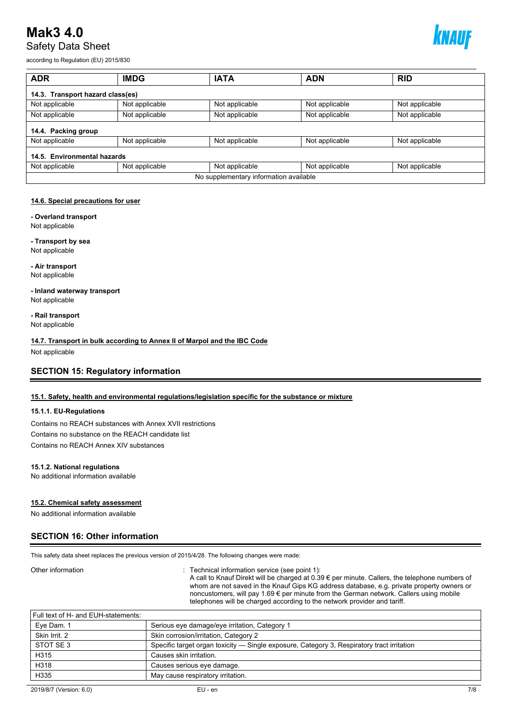## **Mak3 4.0** Safety Data Sheet



according to Regulation (EU) 2015/830

| <b>ADR</b>                             | <b>IMDG</b>    | <b>IATA</b>    | <b>ADN</b>     | <b>RID</b>     |  |
|----------------------------------------|----------------|----------------|----------------|----------------|--|
| 14.3. Transport hazard class(es)       |                |                |                |                |  |
| Not applicable                         | Not applicable | Not applicable | Not applicable | Not applicable |  |
| Not applicable                         | Not applicable | Not applicable | Not applicable | Not applicable |  |
| 14.4. Packing group                    |                |                |                |                |  |
| Not applicable                         | Not applicable | Not applicable | Not applicable | Not applicable |  |
| 14.5. Environmental hazards            |                |                |                |                |  |
| Not applicable                         | Not applicable | Not applicable | Not applicable | Not applicable |  |
| No supplementary information available |                |                |                |                |  |

#### **14.6. Special precautions for user**

**- Overland transport**

Not applicable

**- Transport by sea** Not applicable

**- Air transport** Not applicable

**- Inland waterway transport** Not applicable

**- Rail transport** Not applicable

**14.7. Transport in bulk according to Annex II of Marpol and the IBC Code**

Not applicable

## **SECTION 15: Regulatory information**

#### **15.1. Safety, health and environmental regulations/legislation specific for the substance or mixture**

#### **15.1.1. EU-Regulations**

Contains no REACH substances with Annex XVII restrictions Contains no substance on the REACH candidate list Contains no REACH Annex XIV substances

#### **15.1.2. National regulations**

No additional information available

#### **15.2. Chemical safety assessment**

No additional information available

## **SECTION 16: Other information**

This safety data sheet replaces the previous version of 2015/4/28. The following changes were made:

Other information **interest in the contract of the Contract Section** : Technical information service (see point 1):

A call to Knauf Direkt will be charged at 0.39 € per minute. Callers, the telephone numbers of whom are not saved in the Knauf Gips KG address database, e.g. private property owners or noncustomers, will pay 1.69 € per minute from the German network. Callers using mobile telephones will be charged according to the network provider and tariff.

| Full text of H- and EUH-statements: |     |
|-------------------------------------|-----|
| $\vert$ Eye Dam. 1                  | Ser |
| Skin Irrit, 2                       | Ski |

| Eye Dam. 1    | Serious eye damage/eye irritation, Category 1                                              |
|---------------|--------------------------------------------------------------------------------------------|
| Skin Irrit, 2 | Skin corrosion/irritation, Category 2                                                      |
| STOT SE3      | Specific target organ toxicity — Single exposure, Category 3, Respiratory tract irritation |
| H315          | Causes skin irritation.                                                                    |
| H318          | Causes serious eye damage.                                                                 |
| H335          | May cause respiratory irritation.                                                          |